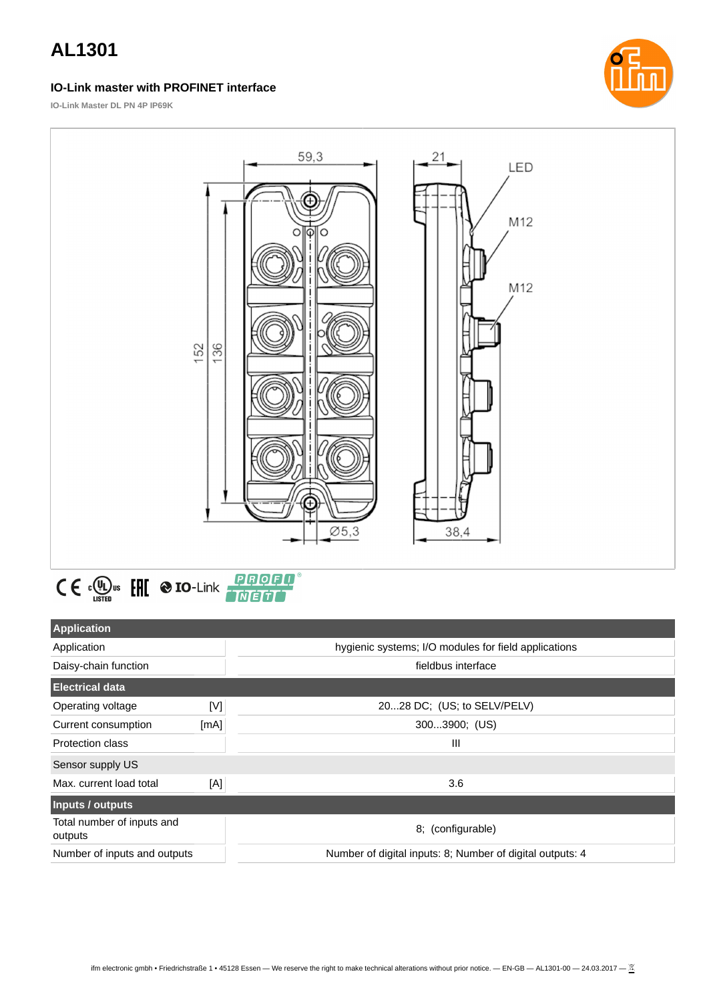### **IO-Link master with PROFINET interface**



**IO-Link Master DL PN 4P IP69K**





| <b>Application</b>                    |      |                                                           |
|---------------------------------------|------|-----------------------------------------------------------|
| Application                           |      | hygienic systems; I/O modules for field applications      |
| Daisy-chain function                  |      | fieldbus interface                                        |
| <b>Electrical data</b>                |      |                                                           |
| Operating voltage                     | [V]  | 2028 DC; (US; to SELV/PELV)                               |
| Current consumption                   | [mA] | 3003900; (US)                                             |
| <b>Protection class</b>               |      | Ш                                                         |
| Sensor supply US                      |      |                                                           |
| Max. current load total               | [A]  | 3.6                                                       |
| Inputs / outputs                      |      |                                                           |
| Total number of inputs and<br>outputs |      | 8; (configurable)                                         |
| Number of inputs and outputs          |      | Number of digital inputs: 8; Number of digital outputs: 4 |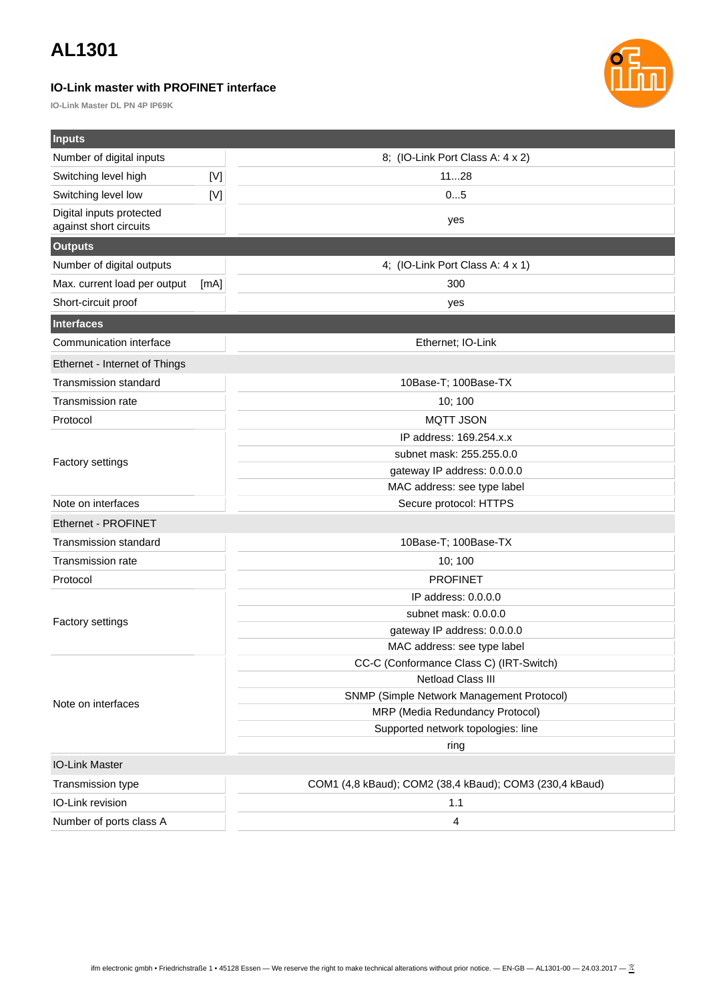### **IO-Link master with PROFINET interface**

**IO-Link Master DL PN 4P IP69K**



| <b>Inputs</b>                 |             |                                                         |  |
|-------------------------------|-------------|---------------------------------------------------------|--|
| Number of digital inputs      |             | 8; (IO-Link Port Class A: 4 x 2)                        |  |
| Switching level high          | $[{\sf V}]$ | 1128                                                    |  |
| Switching level low           | [V]         | 05                                                      |  |
| Digital inputs protected      |             | yes                                                     |  |
| against short circuits        |             |                                                         |  |
| <b>Outputs</b>                |             |                                                         |  |
| Number of digital outputs     |             | 4; (IO-Link Port Class A: 4 x 1)                        |  |
| Max. current load per output  | [mA]        | 300                                                     |  |
| Short-circuit proof           |             | yes                                                     |  |
| <b>Interfaces</b>             |             |                                                         |  |
| Communication interface       |             | Ethernet; IO-Link                                       |  |
| Ethernet - Internet of Things |             |                                                         |  |
| <b>Transmission standard</b>  |             | 10Base-T; 100Base-TX                                    |  |
| Transmission rate             |             | 10; 100                                                 |  |
| Protocol                      |             | <b>MQTT JSON</b>                                        |  |
|                               |             | IP address: 169.254.x.x                                 |  |
|                               |             | subnet mask: 255.255.0.0                                |  |
| <b>Factory settings</b>       |             | gateway IP address: 0.0.0.0                             |  |
|                               |             | MAC address: see type label                             |  |
| Note on interfaces            |             | Secure protocol: HTTPS                                  |  |
| Ethernet - PROFINET           |             |                                                         |  |
| <b>Transmission standard</b>  |             | 10Base-T; 100Base-TX                                    |  |
| Transmission rate             |             | 10; 100                                                 |  |
| Protocol                      |             | <b>PROFINET</b>                                         |  |
|                               |             | IP address: 0.0.0.0                                     |  |
|                               |             | subnet mask: 0.0.0.0                                    |  |
| <b>Factory settings</b>       |             | gateway IP address: 0.0.0.0                             |  |
|                               |             | MAC address: see type label                             |  |
| Note on interfaces            |             | CC-C (Conformance Class C) (IRT-Switch)                 |  |
|                               |             | <b>Netload Class III</b>                                |  |
|                               |             | SNMP (Simple Network Management Protocol)               |  |
|                               |             | MRP (Media Redundancy Protocol)                         |  |
|                               |             | Supported network topologies: line                      |  |
|                               |             | ring                                                    |  |
| <b>IO-Link Master</b>         |             |                                                         |  |
| Transmission type             |             | COM1 (4,8 kBaud); COM2 (38,4 kBaud); COM3 (230,4 kBaud) |  |
| IO-Link revision              |             | $1.1\,$                                                 |  |
| Number of ports class A       |             | 4                                                       |  |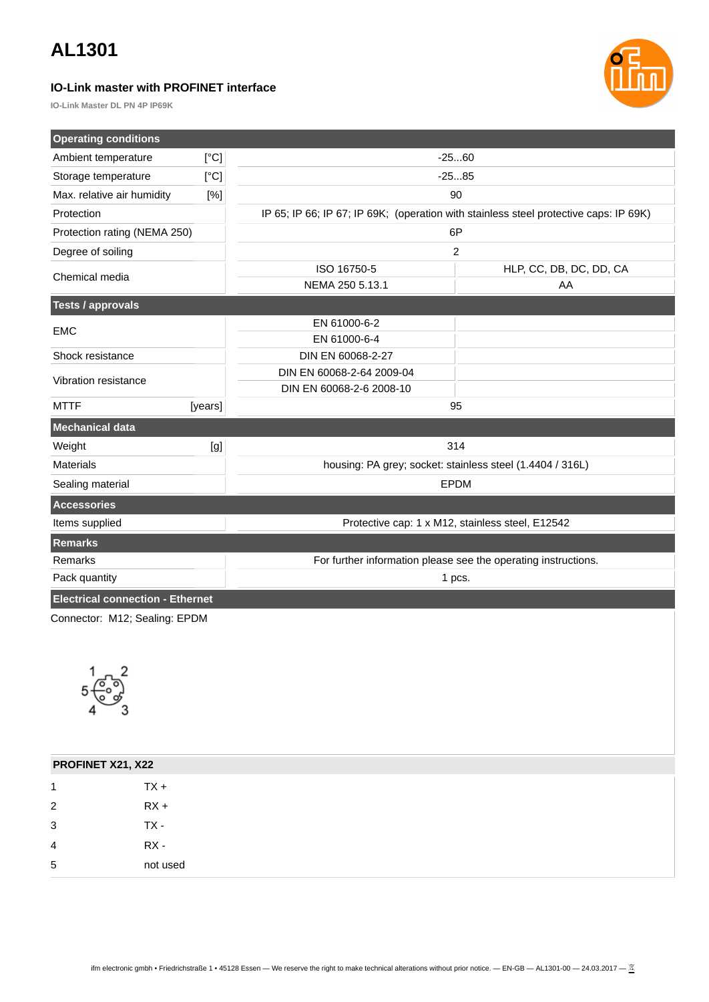### **IO-Link master with PROFINET interface**

**IO-Link Master DL PN 4P IP69K**

| <b>Operating conditions</b>                                        |         |                                                                                       |                         |  |
|--------------------------------------------------------------------|---------|---------------------------------------------------------------------------------------|-------------------------|--|
| Ambient temperature                                                | [°C]    | $-2560$                                                                               |                         |  |
| Storage temperature                                                | [°C]    | $-2585$                                                                               |                         |  |
| Max. relative air humidity                                         | [%]     | 90                                                                                    |                         |  |
| Protection                                                         |         | IP 65; IP 66; IP 67; IP 69K; (operation with stainless steel protective caps: IP 69K) |                         |  |
| Protection rating (NEMA 250)                                       |         | 6P                                                                                    |                         |  |
| Degree of soiling                                                  |         | $\overline{c}$                                                                        |                         |  |
| Chemical media                                                     |         | ISO 16750-5                                                                           | HLP, CC, DB, DC, DD, CA |  |
|                                                                    |         | NEMA 250 5.13.1                                                                       | AA                      |  |
| <b>Tests / approvals</b>                                           |         |                                                                                       |                         |  |
| <b>EMC</b>                                                         |         | EN 61000-6-2                                                                          |                         |  |
|                                                                    |         | EN 61000-6-4                                                                          |                         |  |
| Shock resistance                                                   |         | DIN EN 60068-2-27                                                                     |                         |  |
| Vibration resistance                                               |         | DIN EN 60068-2-64 2009-04                                                             |                         |  |
|                                                                    |         | DIN EN 60068-2-6 2008-10                                                              |                         |  |
| <b>MTTF</b>                                                        | [years] | 95                                                                                    |                         |  |
| <b>Mechanical data</b>                                             |         |                                                                                       |                         |  |
| Weight                                                             | [g]     | 314                                                                                   |                         |  |
| <b>Materials</b>                                                   |         | housing: PA grey; socket: stainless steel (1.4404 / 316L)                             |                         |  |
| <b>EPDM</b><br>Sealing material                                    |         |                                                                                       |                         |  |
| <b>Accessories</b>                                                 |         |                                                                                       |                         |  |
| Items supplied<br>Protective cap: 1 x M12, stainless steel, E12542 |         |                                                                                       |                         |  |
| <b>Remarks</b>                                                     |         |                                                                                       |                         |  |
| Remarks                                                            |         | For further information please see the operating instructions.                        |                         |  |
| Pack quantity                                                      |         | 1 pcs.                                                                                |                         |  |
| <b>Electrical connection - Ethernet</b>                            |         |                                                                                       |                         |  |
|                                                                    |         |                                                                                       |                         |  |

Connector: M12; Sealing: EPDM



| PROFINET X21, X22 |          |
|-------------------|----------|
| 1                 | $TX +$   |
| $\overline{2}$    | $RX +$   |
| 3                 | TX-      |
|                   | RX -     |
| 5                 | not used |
| 4                 |          |